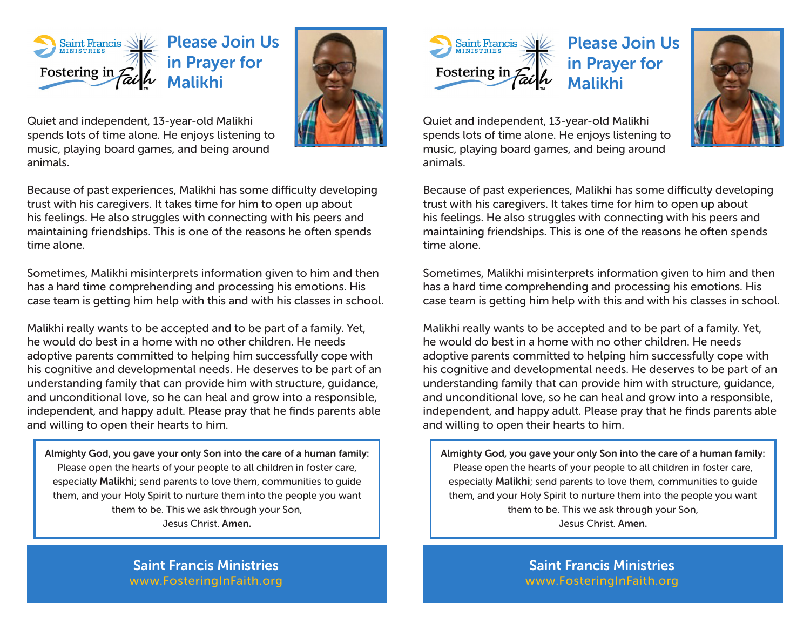

Please Join Us in Prayer for Malikhi



Quiet and independent, 13-year-old Malikhi spends lots of time alone. He enjoys listening to music, playing board games, and being around animals.

Because of past experiences, Malikhi has some difficulty developing trust with his caregivers. It takes time for him to open up about his feelings. He also struggles with connecting with his peers and maintaining friendships. This is one of the reasons he often spends time alone.

Sometimes, Malikhi misinterprets information given to him and then has a hard time comprehending and processing his emotions. His case team is getting him help with this and with his classes in school.

Malikhi really wants to be accepted and to be part of a family. Yet, he would do best in a home with no other children. He needs adoptive parents committed to helping him successfully cope with his cognitive and developmental needs. He deserves to be part of an understanding family that can provide him with structure, guidance, and unconditional love, so he can heal and grow into a responsible, independent, and happy adult. Please pray that he finds parents able and willing to open their hearts to him.

Almighty God, you gave your only Son into the care of a human family: Please open the hearts of your people to all children in foster care, especially Malikhi; send parents to love them, communities to guide them, and your Holy Spirit to nurture them into the people you want them to be. This we ask through your Son, Jesus Christ. Amen.

> Saint Francis Ministries www.FosteringInFaith.org